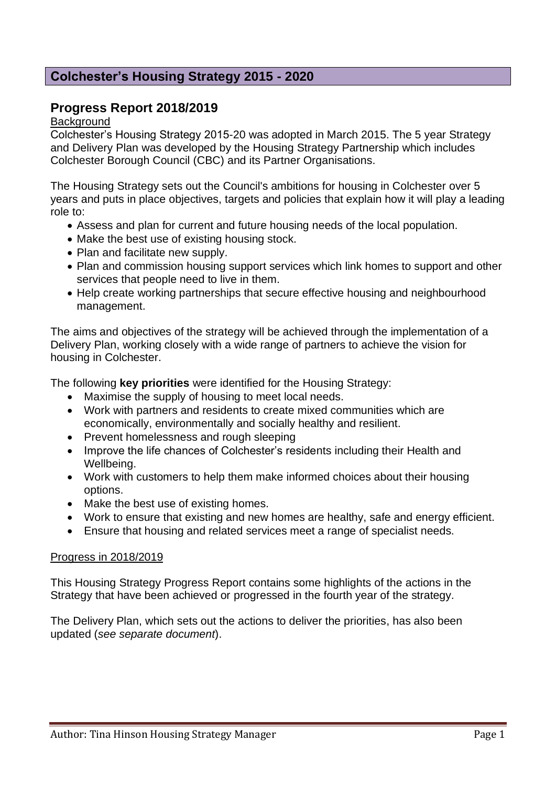# **Colchester's Housing Strategy 2015 - 2020**

# **Progress Report 2018/2019**

**Background** 

Colchester's Housing Strategy 2015-20 was adopted in March 2015. The 5 year Strategy and Delivery Plan was developed by the Housing Strategy Partnership which includes Colchester Borough Council (CBC) and its Partner Organisations.

The Housing Strategy sets out the Council's ambitions for housing in Colchester over 5 years and puts in place objectives, targets and policies that explain how it will play a leading role to:

- Assess and plan for current and future housing needs of the local population.
- Make the best use of existing housing stock.
- Plan and facilitate new supply.
- Plan and commission housing support services which link homes to support and other services that people need to live in them.
- Help create working partnerships that secure effective housing and neighbourhood management.

The aims and objectives of the strategy will be achieved through the implementation of a Delivery Plan, working closely with a wide range of partners to achieve the vision for housing in Colchester.

The following **key priorities** were identified for the Housing Strategy:

- Maximise the supply of housing to meet local needs.
- Work with partners and residents to create mixed communities which are economically, environmentally and socially healthy and resilient.
- Prevent homelessness and rough sleeping
- Improve the life chances of Colchester's residents including their Health and Wellbeing.
- Work with customers to help them make informed choices about their housing options.
- Make the best use of existing homes.
- Work to ensure that existing and new homes are healthy, safe and energy efficient.
- Ensure that housing and related services meet a range of specialist needs.

#### Progress in 2018/2019

This Housing Strategy Progress Report contains some highlights of the actions in the Strategy that have been achieved or progressed in the fourth year of the strategy.

The Delivery Plan, which sets out the actions to deliver the priorities, has also been updated (*see separate document*).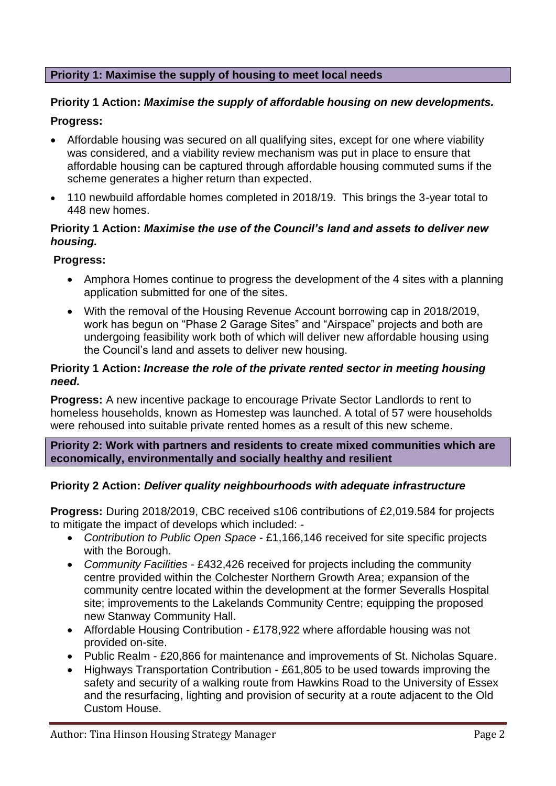## **Priority 1: Maximise the supply of housing to meet local needs**

# **Priority 1 Action:** *Maximise the supply of affordable housing on new developments.*  **Progress:**

- Affordable housing was secured on all qualifying sites, except for one where viability was considered, and a viability review mechanism was put in place to ensure that affordable housing can be captured through affordable housing commuted sums if the scheme generates a higher return than expected.
- 110 newbuild affordable homes completed in 2018/19. This brings the 3-year total to 448 new homes.

## **Priority 1 Action:** *Maximise the use of the Council's land and assets to deliver new housing.*

## **Progress:**

- Amphora Homes continue to progress the development of the 4 sites with a planning application submitted for one of the sites.
- With the removal of the Housing Revenue Account borrowing cap in 2018/2019, work has begun on "Phase 2 Garage Sites" and "Airspace" projects and both are undergoing feasibility work both of which will deliver new affordable housing using the Council's land and assets to deliver new housing.

#### **Priority 1 Action:** *Increase the role of the private rented sector in meeting housing need.*

**Progress:** A new incentive package to encourage Private Sector Landlords to rent to homeless households, known as Homestep was launched. A total of 57 were households were rehoused into suitable private rented homes as a result of this new scheme.

**Priority 2: Work with partners and residents to create mixed communities which are economically, environmentally and socially healthy and resilient**

## **Priority 2 Action:** *Deliver quality neighbourhoods with adequate infrastructure*

**Progress:** During 2018/2019, CBC received s106 contributions of £2,019.584 for projects to mitigate the impact of develops which included: -

- *Contribution to Public Open Space* £1,166,146 received for site specific projects with the Borough.
- *Community Facilities* £432,426 received for projects including the community centre provided within the Colchester Northern Growth Area; expansion of the community centre located within the development at the former Severalls Hospital site; improvements to the Lakelands Community Centre; equipping the proposed new Stanway Community Hall.
- Affordable Housing Contribution £178,922 where affordable housing was not provided on-site.
- Public Realm £20,866 for maintenance and improvements of St. Nicholas Square.
- Highways Transportation Contribution £61,805 to be used towards improving the safety and security of a walking route from Hawkins Road to the University of Essex and the resurfacing, lighting and provision of security at a route adjacent to the Old Custom House.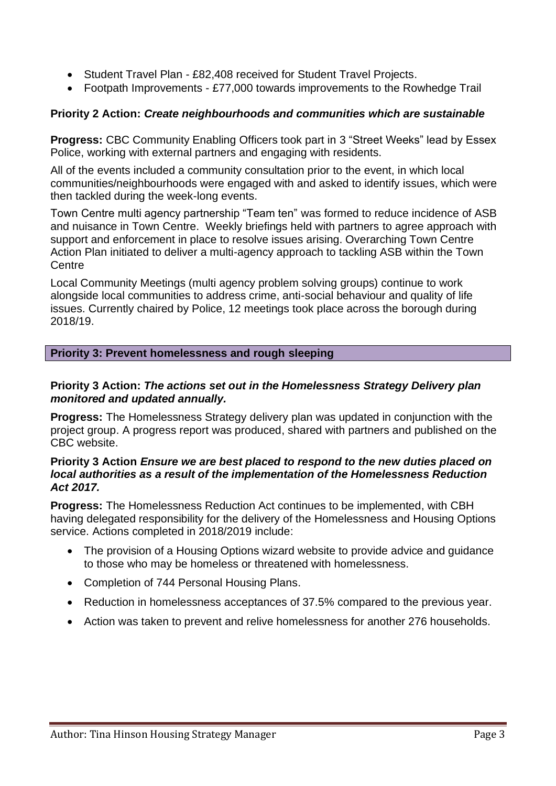- Student Travel Plan £82,408 received for Student Travel Projects.
- Footpath Improvements £77,000 towards improvements to the Rowhedge Trail

# **Priority 2 Action:** *Create neighbourhoods and communities which are sustainable*

**Progress:** CBC Community Enabling Officers took part in 3 "Street Weeks" lead by Essex Police, working with external partners and engaging with residents.

All of the events included a community consultation prior to the event, in which local communities/neighbourhoods were engaged with and asked to identify issues, which were then tackled during the week-long events.

Town Centre multi agency partnership "Team ten" was formed to reduce incidence of ASB and nuisance in Town Centre. Weekly briefings held with partners to agree approach with support and enforcement in place to resolve issues arising. Overarching Town Centre Action Plan initiated to deliver a multi-agency approach to tackling ASB within the Town **Centre** 

Local Community Meetings (multi agency problem solving groups) continue to work alongside local communities to address crime, anti-social behaviour and quality of life issues. Currently chaired by Police, 12 meetings took place across the borough during 2018/19.

## **Priority 3: Prevent homelessness and rough sleeping**

## **Priority 3 Action:** *The actions set out in the Homelessness Strategy Delivery plan monitored and updated annually.*

**Progress:** The Homelessness Strategy delivery plan was updated in conjunction with the project group. A progress report was produced, shared with partners and published on the CBC website.

#### **Priority 3 Action** *Ensure we are best placed to respond to the new duties placed on local authorities as a result of the implementation of the Homelessness Reduction Act 2017.*

**Progress:** The Homelessness Reduction Act continues to be implemented, with CBH having delegated responsibility for the delivery of the Homelessness and Housing Options service. Actions completed in 2018/2019 include:

- The provision of a Housing Options wizard website to provide advice and guidance to those who may be homeless or threatened with homelessness.
- Completion of 744 Personal Housing Plans.
- Reduction in homelessness acceptances of 37.5% compared to the previous year.
- Action was taken to prevent and relive homelessness for another 276 households.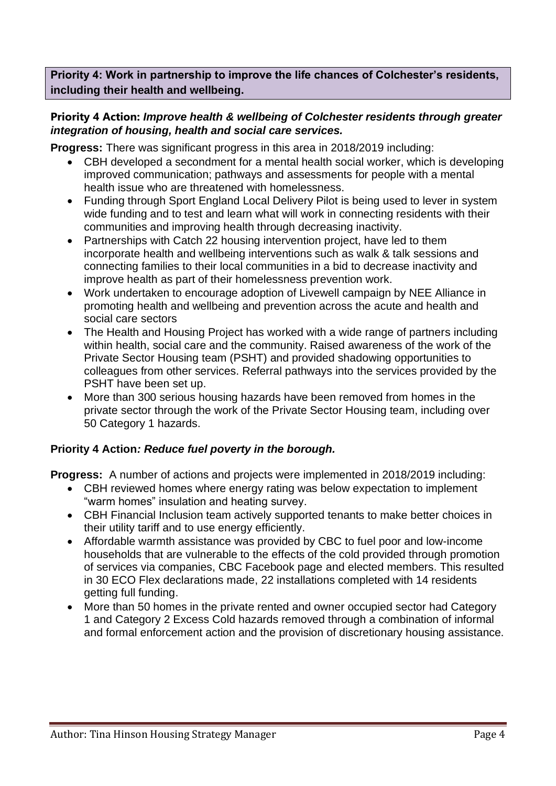**Priority 4: Work in partnership to improve the life chances of Colchester's residents, including their health and wellbeing.**

## **Priority 4 Action:** *Improve health & wellbeing of Colchester residents through greater integration of housing, health and social care services.*

**Progress:** There was significant progress in this area in 2018/2019 including:

- CBH developed a secondment for a mental health social worker, which is developing improved communication; pathways and assessments for people with a mental health issue who are threatened with homelessness.
- Funding through Sport England Local Delivery Pilot is being used to lever in system wide funding and to test and learn what will work in connecting residents with their communities and improving health through decreasing inactivity.
- Partnerships with Catch 22 housing intervention project, have led to them incorporate health and wellbeing interventions such as walk & talk sessions and connecting families to their local communities in a bid to decrease inactivity and improve health as part of their homelessness prevention work.
- Work undertaken to encourage adoption of Livewell campaign by NEE Alliance in promoting health and wellbeing and prevention across the acute and health and social care sectors
- The Health and Housing Project has worked with a wide range of partners including within health, social care and the community. Raised awareness of the work of the Private Sector Housing team (PSHT) and provided shadowing opportunities to colleagues from other services. Referral pathways into the services provided by the PSHT have been set up.
- More than 300 serious housing hazards have been removed from homes in the private sector through the work of the Private Sector Housing team, including over 50 Category 1 hazards.

#### **Priority 4 Action***: Reduce fuel poverty in the borough.*

**Progress:** A number of actions and projects were implemented in 2018/2019 including:

- CBH reviewed homes where energy rating was below expectation to implement "warm homes" insulation and heating survey.
- CBH Financial Inclusion team actively supported tenants to make better choices in their utility tariff and to use energy efficiently.
- Affordable warmth assistance was provided by CBC to fuel poor and low-income households that are vulnerable to the effects of the cold provided through promotion of services via companies, CBC Facebook page and elected members. This resulted in 30 ECO Flex declarations made, 22 installations completed with 14 residents getting full funding.
- More than 50 homes in the private rented and owner occupied sector had Category 1 and Category 2 Excess Cold hazards removed through a combination of informal and formal enforcement action and the provision of discretionary housing assistance.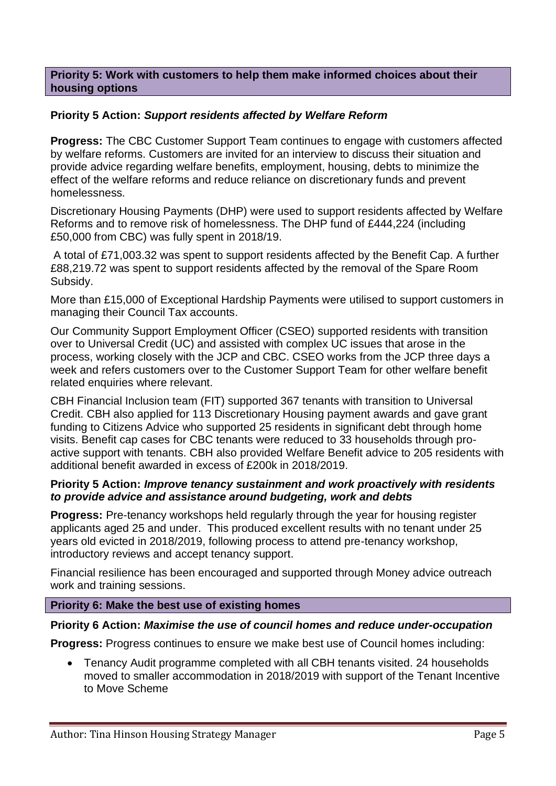#### **Priority 5: Work with customers to help them make informed choices about their housing options**

## **Priority 5 Action:** *Support residents affected by Welfare Reform*

**Progress:** The CBC Customer Support Team continues to engage with customers affected by welfare reforms. Customers are invited for an interview to discuss their situation and provide advice regarding welfare benefits, employment, housing, debts to minimize the effect of the welfare reforms and reduce reliance on discretionary funds and prevent homelessness.

Discretionary Housing Payments (DHP) were used to support residents affected by Welfare Reforms and to remove risk of homelessness. The DHP fund of £444,224 (including £50,000 from CBC) was fully spent in 2018/19.

A total of £71,003.32 was spent to support residents affected by the Benefit Cap. A further £88,219.72 was spent to support residents affected by the removal of the Spare Room Subsidy.

More than £15,000 of Exceptional Hardship Payments were utilised to support customers in managing their Council Tax accounts.

Our Community Support Employment Officer (CSEO) supported residents with transition over to Universal Credit (UC) and assisted with complex UC issues that arose in the process, working closely with the JCP and CBC. CSEO works from the JCP three days a week and refers customers over to the Customer Support Team for other welfare benefit related enquiries where relevant.

CBH Financial Inclusion team (FIT) supported 367 tenants with transition to Universal Credit. CBH also applied for 113 Discretionary Housing payment awards and gave grant funding to Citizens Advice who supported 25 residents in significant debt through home visits. Benefit cap cases for CBC tenants were reduced to 33 households through proactive support with tenants. CBH also provided Welfare Benefit advice to 205 residents with additional benefit awarded in excess of £200k in 2018/2019.

#### **Priority 5 Action:** *Improve tenancy sustainment and work proactively with residents to provide advice and assistance around budgeting, work and debts*

**Progress:** Pre-tenancy workshops held regularly through the year for housing register applicants aged 25 and under. This produced excellent results with no tenant under 25 years old evicted in 2018/2019, following process to attend pre-tenancy workshop, introductory reviews and accept tenancy support.

Financial resilience has been encouraged and supported through Money advice outreach work and training sessions.

#### **Priority 6: Make the best use of existing homes**

#### **Priority 6 Action:** *Maximise the use of council homes and reduce under-occupation*

**Progress:** Progress continues to ensure we make best use of Council homes including:

• Tenancy Audit programme completed with all CBH tenants visited. 24 households moved to smaller accommodation in 2018/2019 with support of the Tenant Incentive to Move Scheme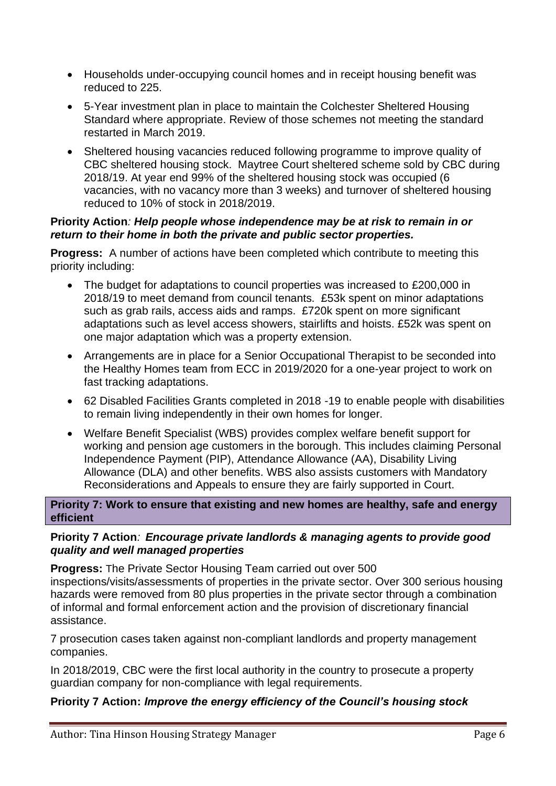- Households under-occupying council homes and in receipt housing benefit was reduced to 225.
- 5-Year investment plan in place to maintain the Colchester Sheltered Housing Standard where appropriate. Review of those schemes not meeting the standard restarted in March 2019.
- Sheltered housing vacancies reduced following programme to improve quality of CBC sheltered housing stock. Maytree Court sheltered scheme sold by CBC during 2018/19. At year end 99% of the sheltered housing stock was occupied (6 vacancies, with no vacancy more than 3 weeks) and turnover of sheltered housing reduced to 10% of stock in 2018/2019.

#### **Priority Action***: Help people whose independence may be at risk to remain in or return to their home in both the private and public sector properties.*

**Progress:** A number of actions have been completed which contribute to meeting this priority including:

- The budget for adaptations to council properties was increased to £200,000 in 2018/19 to meet demand from council tenants. £53k spent on minor adaptations such as grab rails, access aids and ramps. £720k spent on more significant adaptations such as level access showers, stairlifts and hoists. £52k was spent on one major adaptation which was a property extension.
- Arrangements are in place for a Senior Occupational Therapist to be seconded into the Healthy Homes team from ECC in 2019/2020 for a one-year project to work on fast tracking adaptations.
- 62 Disabled Facilities Grants completed in 2018 -19 to enable people with disabilities to remain living independently in their own homes for longer.
- Welfare Benefit Specialist (WBS) provides complex welfare benefit support for working and pension age customers in the borough. This includes claiming Personal Independence Payment (PIP), Attendance Allowance (AA), Disability Living Allowance (DLA) and other benefits. WBS also assists customers with Mandatory Reconsiderations and Appeals to ensure they are fairly supported in Court.

**Priority 7: Work to ensure that existing and new homes are healthy, safe and energy efficient**

## **Priority 7 Action***: Encourage private landlords & managing agents to provide good quality and well managed properties*

**Progress:** The Private Sector Housing Team carried out over 500 inspections/visits/assessments of properties in the private sector. Over 300 serious housing hazards were removed from 80 plus properties in the private sector through a combination of informal and formal enforcement action and the provision of discretionary financial assistance.

7 prosecution cases taken against non-compliant landlords and property management companies.

In 2018/2019, CBC were the first local authority in the country to prosecute a property guardian company for non-compliance with legal requirements.

## **Priority 7 Action:** *Improve the energy efficiency of the Council's housing stock*